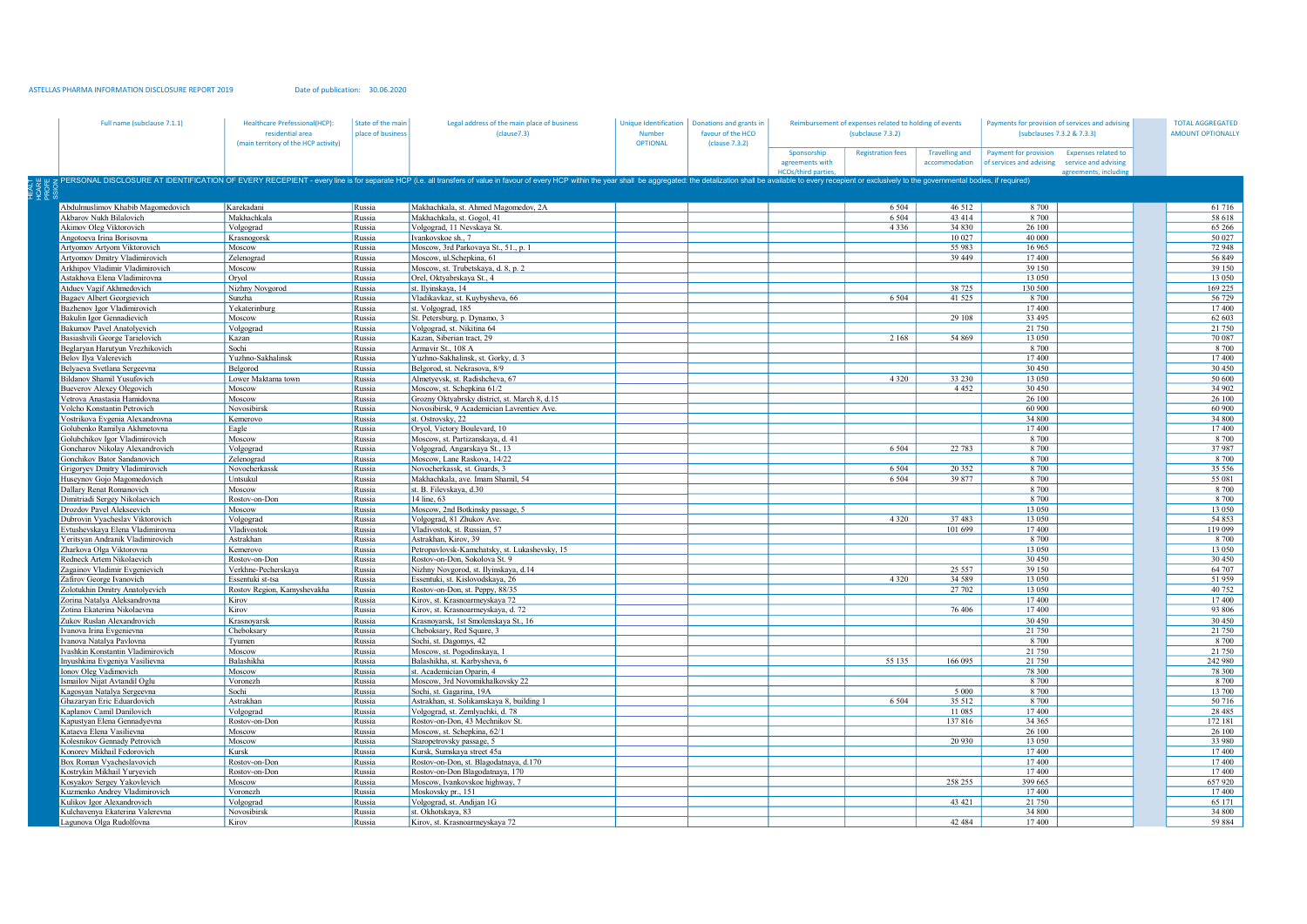## ASTELLAS PHARMA INFORMATION DISCLOSURE REPORT 2019

Date of publication: 30.06.2020

| Full name (subclause 7.1.1)                                  | <b>Healthcare Prefessional(HCP):</b><br>residential area<br>(main territory of the HCP activity) | State of the main<br>place of business | Legal address of the main place of business<br>(clause7.3)                                                                                                                                                                     | Unique Identification<br><b>Number</b><br><b>OPTIONAL</b> | Donations and grants in<br>favour of the HCO<br>(clause 7.3.2) | Reimbursement of expenses related to holding of events<br>(subclause 7.3.2) |                          |                                        | Payments for provision of services and advising<br>(subclauses 7.3.2 & 7.3.3) |                                                     | <b>TOTAL AGGREGATED</b><br><b>AMOUNT OPTIONALLY</b> |  |
|--------------------------------------------------------------|--------------------------------------------------------------------------------------------------|----------------------------------------|--------------------------------------------------------------------------------------------------------------------------------------------------------------------------------------------------------------------------------|-----------------------------------------------------------|----------------------------------------------------------------|-----------------------------------------------------------------------------|--------------------------|----------------------------------------|-------------------------------------------------------------------------------|-----------------------------------------------------|-----------------------------------------------------|--|
|                                                              |                                                                                                  |                                        |                                                                                                                                                                                                                                |                                                           |                                                                | Sponsorship<br>agreements with<br><b>HCOs/third parties</b>                 | <b>Registration fees</b> | <b>Travelling and</b><br>accommodation | Payment for provision<br>of services and advising service and advising        | <b>Expenses related to</b><br>agreements, including |                                                     |  |
|                                                              |                                                                                                  |                                        | z PERSONAL DISCLOSURE AT IDENTIFICATION OF EVERY RECEPIENT - every line is for separate HCP (i.e. all transfers of value in favour of every HCP within the year shall be aggregated: the detalization shall be available to ev |                                                           |                                                                |                                                                             |                          |                                        |                                                                               |                                                     |                                                     |  |
| Abdulmuslimov Khabib Magomedovich                            | Karekadani                                                                                       | Russia                                 | Makhachkala, st. Ahmed Magomedov, 2A                                                                                                                                                                                           |                                                           |                                                                |                                                                             | 6 5 0 4                  | 46 512                                 | 8 700                                                                         |                                                     | 61 716                                              |  |
| Akbarov Nukh Bilalovich                                      | Makhachkala                                                                                      | Russia                                 | Makhachkala, st. Gogol, 41                                                                                                                                                                                                     |                                                           |                                                                |                                                                             | 6 5 0 4                  | 43 414                                 | 8 700                                                                         |                                                     | 58 618                                              |  |
| Akimov Oleg Viktorovich                                      | Volgograd                                                                                        | Russia                                 | Volgograd, 11 Nevskaya St.                                                                                                                                                                                                     |                                                           |                                                                |                                                                             | 4 3 3 6                  | 34 830                                 | 26 100                                                                        |                                                     | 65 266                                              |  |
| Angotoeva Irina Borisovna                                    | Krasnogorsk                                                                                      | Russia                                 | Ivankovskoe sh., 7                                                                                                                                                                                                             |                                                           |                                                                |                                                                             |                          | 10 027                                 | 40 000                                                                        |                                                     | 50 027                                              |  |
| Artyomov Artyom Viktorovich                                  | Moscow                                                                                           | Russia                                 | Moscow, 3rd Parkovaya St., 51., p. 1                                                                                                                                                                                           |                                                           |                                                                |                                                                             |                          | 55 983                                 | 16 965                                                                        |                                                     | 72 948                                              |  |
| Artyomov Dmitry Vladimirovich                                | Zelenograd                                                                                       | Russia                                 | Moscow, ul.Schepkina, 61                                                                                                                                                                                                       |                                                           |                                                                |                                                                             |                          | 39 449                                 | 17400                                                                         |                                                     | 56 849                                              |  |
| Arkhipov Vladimir Vladimirovich                              | Moscow                                                                                           | Russia                                 | Moscow, st. Trubetskaya, d. 8, p. 2                                                                                                                                                                                            |                                                           |                                                                |                                                                             |                          |                                        | 39 150                                                                        |                                                     | 39 150                                              |  |
| Astakhova Elena Vladimirovna                                 | Oryol                                                                                            | Russia                                 | Orel, Oktyabrskaya St., 4                                                                                                                                                                                                      |                                                           |                                                                |                                                                             |                          |                                        | 13 050                                                                        |                                                     | 13 050                                              |  |
| Atduev Vagif Akhmedovich                                     | Nizhny Novgorod                                                                                  | Russia                                 | st. Ilyinskaya, 14                                                                                                                                                                                                             |                                                           |                                                                |                                                                             |                          | 38 7 25                                | 130 500                                                                       |                                                     | 169 225                                             |  |
| Bagaev Albert Georgievich                                    | Sunzha                                                                                           | Russia                                 | Vladikavkaz, st. Kuybysheva, 66                                                                                                                                                                                                |                                                           |                                                                |                                                                             | 6 5 0 4                  | 41 5 25                                | 8 700                                                                         |                                                     | 56 729                                              |  |
| Bazhenov Igor Vladimirovich                                  | Yekaterinburg                                                                                    | Russia                                 | st. Volgograd, 185                                                                                                                                                                                                             |                                                           |                                                                |                                                                             |                          |                                        | 17400<br>33 4 95                                                              |                                                     | 17400                                               |  |
| Bakulin Igor Gennadievich                                    | Moscow                                                                                           | Russia                                 | St. Petersburg, p. Dynamo, 3                                                                                                                                                                                                   |                                                           |                                                                |                                                                             |                          | 29 108                                 | 21 750                                                                        |                                                     | 62 603                                              |  |
| Bakumov Pavel Anatolyevich<br>Basiashvili George Tarielovich | Volgograd<br>Kazan                                                                               | Russia<br>Russia                       | Volgograd, st. Nikitina 64<br>Kazan, Siberian tract, 29                                                                                                                                                                        |                                                           |                                                                |                                                                             | 2 1 6 8                  | 54 869                                 | 13 050                                                                        |                                                     | 21 750<br>70 087                                    |  |
| Beglaryan Harutyun Vrezhikovich                              | Sochi                                                                                            | Russia                                 | Armavir St., 108 A                                                                                                                                                                                                             |                                                           |                                                                |                                                                             |                          |                                        | 8 700                                                                         |                                                     | 8 700                                               |  |
| Belov Ilya Valerevich                                        | Yuzhno-Sakhalinsk                                                                                | Russia                                 | Yuzhno-Sakhalinsk, st. Gorky, d. 3                                                                                                                                                                                             |                                                           |                                                                |                                                                             |                          |                                        | 17400                                                                         |                                                     | 17400                                               |  |
| Belyaeva Svetlana Sergeevna                                  | Belgorod                                                                                         | Russia                                 | Belgorod, st. Nekrasova, 8/9                                                                                                                                                                                                   |                                                           |                                                                |                                                                             |                          |                                        | 30 450                                                                        |                                                     | 30 450                                              |  |
| Bildanov Shamil Yusufovich                                   | Lower Maktama town                                                                               | Russia                                 | Almetyevsk, st. Radishcheva, 67                                                                                                                                                                                                |                                                           |                                                                |                                                                             | 4 3 2 0                  | 33 230                                 | 13 050                                                                        |                                                     | 50 600                                              |  |
| Bueverov Alexey Olegovich                                    | Moscow                                                                                           | Russia                                 | Moscow, st. Schepkina 61/2                                                                                                                                                                                                     |                                                           |                                                                |                                                                             |                          | 4452                                   | 30.450                                                                        |                                                     | 34 902                                              |  |
| /etrova Anastasia Hamidovna                                  | Moscow                                                                                           | Russia                                 | Grozny Oktyabrsky district, st. March 8, d.15                                                                                                                                                                                  |                                                           |                                                                |                                                                             |                          |                                        | 26 100                                                                        |                                                     | 26 100                                              |  |
| <b>Jolcho Konstantin Petrovich</b>                           | Novosibirsk                                                                                      | Russia                                 | Novosibirsk, 9 Academician Lavrentiev Ave.                                                                                                                                                                                     |                                                           |                                                                |                                                                             |                          |                                        | 60 900                                                                        |                                                     | 60 900                                              |  |
| Vostrikova Evgenia Alexandrovna                              | Kemerovo                                                                                         | Russia                                 | st. Ostrovsky, 22                                                                                                                                                                                                              |                                                           |                                                                |                                                                             |                          |                                        | 34 800                                                                        |                                                     | 34 800                                              |  |
| Golubenko Ramilya Akhmetovna                                 | Eagle                                                                                            | Russia                                 | Oryol, Victory Boulevard, 10                                                                                                                                                                                                   |                                                           |                                                                |                                                                             |                          |                                        | 17400                                                                         |                                                     | 17400                                               |  |
| Golubchikov Igor Vladimirovich                               | Moscow                                                                                           | Russia                                 | Moscow, st. Partizanskaya, d. 41                                                                                                                                                                                               |                                                           |                                                                |                                                                             |                          |                                        | 8 700                                                                         |                                                     | 8 700                                               |  |
| Goncharov Nikolay Alexandrovich                              | Volgograd                                                                                        | Russia                                 | Volgograd, Angarskaya St., 13                                                                                                                                                                                                  |                                                           |                                                                |                                                                             | 6 5 0 4                  | 22 783                                 | 8 700                                                                         |                                                     | 37987                                               |  |
| Gonchikov Bator Sandanovich                                  | Zelenograd                                                                                       | Russia                                 | Moscow, Lane Raskova, 14/22                                                                                                                                                                                                    |                                                           |                                                                |                                                                             |                          |                                        | 8 700                                                                         |                                                     | 8 700                                               |  |
| Grigoryev Dmitry Vladimirovich                               | Novocherkassk                                                                                    | Russia                                 | Novocherkassk, st. Guards, 3                                                                                                                                                                                                   |                                                           |                                                                |                                                                             | 6 5 0 4                  | 20 35 2                                | 8 700                                                                         |                                                     | 35 556                                              |  |
| Huseynov Gojo Magomedovich                                   | Untsukul                                                                                         | Russia                                 | Makhachkala, ave. Imam Shamil, 54                                                                                                                                                                                              |                                                           |                                                                |                                                                             | 6 5 0 4                  | 39 877                                 | 8 700                                                                         |                                                     | 55 081                                              |  |
| <b>Dallary Renat Romanovich</b>                              | Moscow<br>Rostov-on-Don                                                                          | Russia                                 | st. B. Filevskaya, d.30                                                                                                                                                                                                        |                                                           |                                                                |                                                                             |                          |                                        | 8 700<br>8 700                                                                |                                                     | 8 700<br>8 700                                      |  |
| Dimitriadi Sergey Nikolaevich<br>Drozdov Pavel Alekseevich   | Moscow                                                                                           | Russia<br>Russia                       | 14 line, 63<br>Moscow, 2nd Botkinsky passage, 5                                                                                                                                                                                |                                                           |                                                                |                                                                             |                          |                                        | 13 050                                                                        |                                                     | 13 050                                              |  |
| Oubrovin Vyacheslav Viktorovich                              | Volgograd                                                                                        | Russia                                 | Volgograd, 81 Zhukov Ave.                                                                                                                                                                                                      |                                                           |                                                                |                                                                             | 4 3 2 0                  | 37 483                                 | 13 050                                                                        |                                                     | 54 853                                              |  |
| Evtushevskava Elena Vladimirovna                             | Vladivostok                                                                                      | Russia                                 | Vladivostok, st. Russian, 57                                                                                                                                                                                                   |                                                           |                                                                |                                                                             |                          | 101 699                                | 17400                                                                         |                                                     | 119 099                                             |  |
| Yeritsyan Andranik Vladimirovich                             | Astrakhan                                                                                        | Russia                                 | Astrakhan, Kirov, 39                                                                                                                                                                                                           |                                                           |                                                                |                                                                             |                          |                                        | 8 700                                                                         |                                                     | 8 700                                               |  |
| Zharkova Olga Viktorovna                                     | Kemerovo                                                                                         | Russia                                 | Petropavlovsk-Kamchatsky, st. Lukashevsky, 15                                                                                                                                                                                  |                                                           |                                                                |                                                                             |                          |                                        | 13 050                                                                        |                                                     | 13 050                                              |  |
| Redneck Artem Nikolaevich                                    | Rostov-on-Don                                                                                    | Russia                                 | Rostov-on-Don, Sokolova St. 9                                                                                                                                                                                                  |                                                           |                                                                |                                                                             |                          |                                        | 30 450                                                                        |                                                     | 30 450                                              |  |
| Zagainov Vladimir Evgenievich                                | Verkhne-Pecherskaya                                                                              | Russia                                 | Nizhny Novgorod, st. Ilyinskaya, d.14                                                                                                                                                                                          |                                                           |                                                                |                                                                             |                          | 25 5 5 7                               | 39 150                                                                        |                                                     | 64 707                                              |  |
| Zafirov George Ivanovich                                     | Essentuki st-tsa                                                                                 | Russia                                 | Essentuki, st. Kislovodskaya, 26                                                                                                                                                                                               |                                                           |                                                                |                                                                             | 4 3 2 0                  | 34 589                                 | 13 050                                                                        |                                                     | 51 959                                              |  |
| Zolotukhin Dmitry Anatolyevich                               | Rostov Region, Kamyshevakha                                                                      | Russia                                 | Rostov-on-Don, st. Peppy, 88/35                                                                                                                                                                                                |                                                           |                                                                |                                                                             |                          | 27 702                                 | 13 050                                                                        |                                                     | 40 752                                              |  |
| Zorina Natalya Aleksandrovna                                 | Kirov                                                                                            | Russia                                 | Kirov, st. Krasnoarmeyskaya 72                                                                                                                                                                                                 |                                                           |                                                                |                                                                             |                          |                                        | 17400                                                                         |                                                     | 17400                                               |  |
| Zotina Ekaterina Nikolaevna                                  | Kirov                                                                                            | Russia                                 | Kirov, st. Krasnoarmeyskaya, d. 72                                                                                                                                                                                             |                                                           |                                                                |                                                                             |                          | 76 40 6                                | 17400                                                                         |                                                     | 93 806                                              |  |
| Zukov Ruslan Alexandrovich                                   | Krasnoyarsk                                                                                      | Russia                                 | Krasnoyarsk, 1st Smolenskaya St., 16                                                                                                                                                                                           |                                                           |                                                                |                                                                             |                          |                                        | 30 450                                                                        |                                                     | 30 450                                              |  |
| vanova Irina Evgenievna                                      | Cheboksary                                                                                       | Russia                                 | Cheboksary, Red Square, 3                                                                                                                                                                                                      |                                                           |                                                                |                                                                             |                          |                                        | 21 750                                                                        |                                                     | 21 750                                              |  |
| vanova Natalva Pavlovna                                      | Tvumen                                                                                           | Russia                                 | Sochi, st. Dagomys, 42                                                                                                                                                                                                         |                                                           |                                                                |                                                                             |                          |                                        | 8 700                                                                         |                                                     | 8 700                                               |  |
| vashkin Konstantin Vladimirovich                             | Moscow                                                                                           | Russia                                 | Moscow, st. Pogodinskaya, 1                                                                                                                                                                                                    |                                                           |                                                                |                                                                             |                          |                                        | 21 750                                                                        |                                                     | 21 750                                              |  |
| nyushkina Evgeniya Vasilievna                                | Balashikha                                                                                       | Russia                                 | Balashikha, st. Karbysheva, 6                                                                                                                                                                                                  |                                                           |                                                                |                                                                             | 55 135                   | 166 095                                | 21 750                                                                        |                                                     | 242 980                                             |  |
| lonov Oleg Vadimovich                                        | Moscow                                                                                           | Russia                                 | st. Academician Oparin, 4                                                                                                                                                                                                      |                                                           |                                                                |                                                                             |                          |                                        | 78 300                                                                        |                                                     | 78 300                                              |  |
| smailov Nijat Avtandil Oglu<br>Cagosyan Natalya Sergeevna    | Voronezh<br>Sochi                                                                                | Russia<br>Russia                       | Moscow, 3rd Novomikhalkovsky 22<br>Sochi, st. Gagarina, 19A                                                                                                                                                                    |                                                           |                                                                |                                                                             |                          | 5 0 0 0                                | 8 700<br>8 700                                                                |                                                     | 8 700<br>13 700                                     |  |
| Ghazaryan Eric Eduardovich                                   | Astrakhan                                                                                        | Russia                                 | Astrakhan, st. Solikamskaya 8, building 1                                                                                                                                                                                      |                                                           |                                                                |                                                                             | 6 5 0 4                  | 35 512                                 | 8 700                                                                         |                                                     | 50 716                                              |  |
| Caplanov Camil Danilovich                                    | Volgograd                                                                                        | Russia                                 | Volgograd, st. Zemlyachki, d. 78                                                                                                                                                                                               |                                                           |                                                                |                                                                             |                          | 11 085                                 | 17400                                                                         |                                                     | 28 4 8 5                                            |  |
| Kapustyan Elena Gennadyevna                                  | Rostov-on-Don                                                                                    | Russia                                 | Rostov-on-Don, 43 Mechnikov St.                                                                                                                                                                                                |                                                           |                                                                |                                                                             |                          | 137816                                 | 34 365                                                                        |                                                     | 172 181                                             |  |
| Cataeva Elena Vasilievna                                     | Moscow                                                                                           | Russia                                 | Moscow, st. Schepkina, 62/1                                                                                                                                                                                                    |                                                           |                                                                |                                                                             |                          |                                        | 26 100                                                                        |                                                     | 26 100                                              |  |
| Colesnikov Gennady Petrovich                                 | Moscow                                                                                           | Russia                                 | Staropetrovsky passage, 5                                                                                                                                                                                                      |                                                           |                                                                |                                                                             |                          | 20 930                                 | 13 050                                                                        |                                                     | 33 980                                              |  |
| Konorev Mikhail Fedorovich                                   | Kursk                                                                                            | Russia                                 | Kursk, Sumskaya street 45a                                                                                                                                                                                                     |                                                           |                                                                |                                                                             |                          |                                        | 17400                                                                         |                                                     | 17400                                               |  |
| Box Roman Vyacheslavovich                                    | Rostov-on-Don                                                                                    | Russia                                 | Rostov-on-Don, st. Blagodatnaya, d.170                                                                                                                                                                                         |                                                           |                                                                |                                                                             |                          |                                        | 17400                                                                         |                                                     | 17400                                               |  |
| Costrykin Mikhail Yurvevich                                  | Rostov-on-Don                                                                                    | Russia                                 | Rostov-on-Don Blagodatnava, 170                                                                                                                                                                                                |                                                           |                                                                |                                                                             |                          |                                        | 17400                                                                         |                                                     | 17400                                               |  |
| Cosyakov Sergey Yakovlevich                                  | Moscow                                                                                           | Russia                                 | Moscow, Ivankovskoe highway, 7                                                                                                                                                                                                 |                                                           |                                                                |                                                                             |                          | 258 255                                | 399 665                                                                       |                                                     | 657920                                              |  |
| Cuzmenko Andrey Vladimirovich                                | Voronezh                                                                                         | Russia                                 | Moskovsky pr., 151                                                                                                                                                                                                             |                                                           |                                                                |                                                                             |                          |                                        | 17400                                                                         |                                                     | 17400                                               |  |
| Culikov Igor Alexandrovich                                   | Volgograd                                                                                        | Russia                                 | Volgograd, st. Andijan 1G                                                                                                                                                                                                      |                                                           |                                                                |                                                                             |                          | 43 421                                 | 21 750                                                                        |                                                     | 65 171                                              |  |
| Kulchavenya Ekaterina Valerevna                              | Novosibirsk                                                                                      | Russia                                 | st. Okhotskaya, 83                                                                                                                                                                                                             |                                                           |                                                                |                                                                             |                          |                                        | 34 800                                                                        |                                                     | 34 800                                              |  |
| agunova Olga Rudolfovna                                      | Kirov                                                                                            | Russia                                 | Kirov, st. Krasnoarmeyskaya 72                                                                                                                                                                                                 |                                                           |                                                                |                                                                             |                          | 42 484                                 | 17400                                                                         |                                                     | 59 884                                              |  |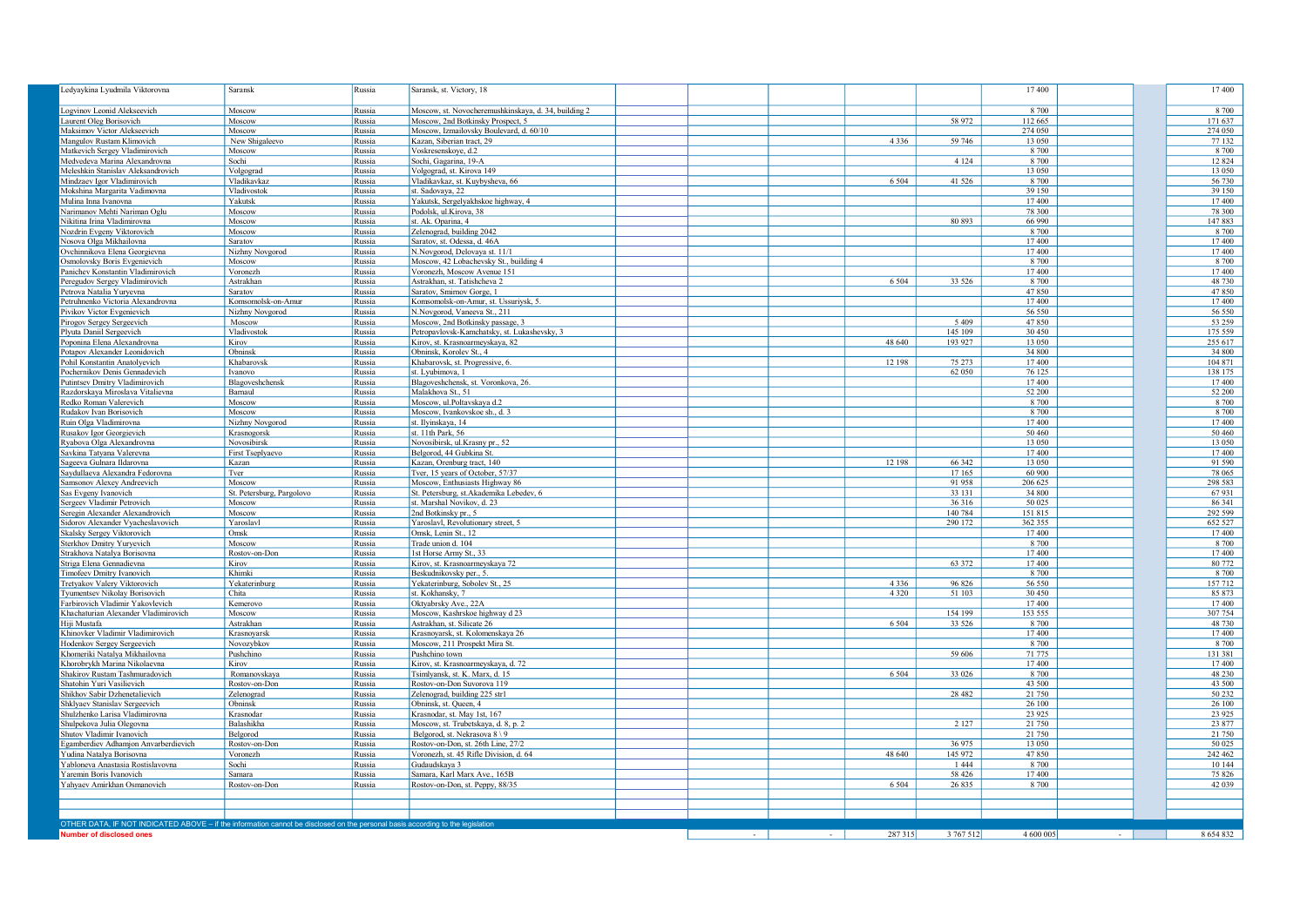| Ledyaykina Lyudmila Viktorovna                                                                                                 | Saransk                   | Russia           | Saransk, st. Victory, 18                                           |  |         |                    | 17400              |  | 17 400             |
|--------------------------------------------------------------------------------------------------------------------------------|---------------------------|------------------|--------------------------------------------------------------------|--|---------|--------------------|--------------------|--|--------------------|
| Logvinov Leonid Alekseevich                                                                                                    | Moscow                    | Russia           | Moscow, st. Novocheremushkinskaya, d. 34, building 2               |  |         |                    | 8 700              |  | 8 700              |
| Laurent Oleg Borisovich                                                                                                        | Moscow                    | Russia           | Moscow, 2nd Botkinsky Prospect, 5                                  |  |         | 58 972             | 112 665            |  | 171 637            |
| Maksimov Victor Alekseevich                                                                                                    | Moscow                    | Russia           | Moscow, Izmailovsky Boulevard, d. 60/10                            |  |         |                    | 274 050            |  | 274 050            |
| Mangulov Rustam Klimovich                                                                                                      | New Shigaleevo            | Russia           | Kazan, Siberian tract, 29                                          |  | 4 3 3 6 | 59 746             | 13 050             |  | 77 132             |
| Matkevich Sergey Vladimirovich                                                                                                 | Moscow                    | Russia           | Voskresenskoye, d.2                                                |  |         |                    | 8 700              |  | 8 7 0 0            |
| Medvedeva Marina Alexandrovna                                                                                                  | Sochi                     | Russia           | Sochi, Gagarina, 19-A                                              |  |         | 4 1 2 4            | 8 700              |  | 12 8 24            |
| Meleshkin Stanislav Aleksandrovich                                                                                             | Volgograd                 | Russia           | Volgograd, st. Kirova 149                                          |  |         |                    | 13 050             |  | 13 050             |
| Mindzaev Igor Vladimirovich                                                                                                    | Vladikavkaz               | Russia           | Vladikavkaz, st. Kuybysheva, 66                                    |  | 6 5 0 4 | 41 5 26            | 8 700              |  | 56 730             |
| Mokshina Margarita Vadimovna                                                                                                   | Vladivostok               | Russia           | st. Sadovaya, 22                                                   |  |         |                    | 39 150             |  | 39 150             |
| Mulina Inna Ivanovna                                                                                                           | Yakutsk                   | Russia           | Yakutsk, Sergelyakhskoe highway, 4                                 |  |         |                    | 17400              |  | 17 400             |
| Narimanov Mehti Nariman Oglu                                                                                                   | Moscow                    | Russia           | Podolsk, ul.Kirova, 38                                             |  |         |                    | 78 300             |  | 78 300             |
| Nikitina Irina Vladimirovna                                                                                                    | Moscow                    | Russia           | st. Ak. Oparina, 4                                                 |  |         | 80 893             | 66 990             |  | 147883             |
| Nozdrin Evgeny Viktorovich                                                                                                     | Moscow                    | Russia           | Zelenograd, building 2042                                          |  |         |                    | 8 700              |  | 8 700              |
| Nosova Olga Mikhailovna                                                                                                        | Saratov                   | Russia           | Saratov, st. Odessa, d. 46A                                        |  |         |                    | 17400              |  | 17 400             |
| Ovchinnikova Elena Georgievna                                                                                                  | Nizhny Novgorod           | Russia           | N.Novgorod, Delovaya st. 11/1                                      |  |         |                    | 17400<br>8.700     |  | 17 400             |
| Osmolovsky Boris Evgenievich                                                                                                   | Moscow<br>Voronezh        | Russia           | Moscow, 42 Lobachevsky St., building 4                             |  |         |                    | 17400              |  | 8 700<br>17400     |
| Panichev Konstantin Vladimirovich                                                                                              | Astrakhan                 | Russia<br>Russia | Voronezh, Moscow Avenue 151<br>Astrakhan, st. Tatishcheva 2        |  | 6 5 0 4 | 33 5 26            | 8 700              |  | 48 730             |
| Peregudov Sergey Vladimirovich<br>Petrova Natalia Yuryevna                                                                     | Saratov                   | Russia           | Saratov, Smirnov Gorge, 1                                          |  |         |                    | 47850              |  | 47850              |
| Petruhnenko Victoria Alexandrovna                                                                                              | Komsomolsk-on-Amur        | Russia           | Komsomolsk-on-Amur, st. Ussuriysk, 5.                              |  |         |                    | 17400              |  | 17400              |
| Pivikov Victor Evgenievich                                                                                                     | Nizhny Novgorod           | Russia           | N.Novgorod, Vaneeva St., 211                                       |  |         |                    | 56 550             |  | 56 550             |
| Pirogov Sergey Sergeevich                                                                                                      | Moscow                    | Russia           | Moscow, 2nd Botkinsky passage, 3                                   |  |         | 5 4 0 9            | 47850              |  | 53 259             |
| Plyuta Daniil Sergeevich                                                                                                       | Vladivostok               | Russia           | Petropavlovsk-Kamchatsky, st. Lukashevsky, 3                       |  |         | 145 109            | 30 450             |  | 175 559            |
| Poponina Elena Alexandrovna                                                                                                    | Kirov                     | Russia           | Kirov, st. Krasnoarmeyskaya, 82                                    |  | 48 640  | 193 927            | 13 050             |  | 255 617            |
| Potapov Alexander Leonidovich                                                                                                  | Obninsk                   | Russia           | Obninsk, Korolev St., 4                                            |  |         |                    | 34 800             |  | 34 800             |
| Pohil Konstantin Anatolyevich                                                                                                  | Khabarovsk                | Russia           | Khabarovsk, st. Progressive, 6.                                    |  | 12 198  | 75 273             | 17400              |  | 104 871            |
| Pochernikov Denis Gennadevich                                                                                                  | Ivanovo                   | Russia           | st. Lyubimova, 1                                                   |  |         | 62 050             | 76 125             |  | 138 175            |
| Putintsev Dmitry Vladimirovich                                                                                                 | Blagoveshchensk           | Russia           | Blagoveshchensk, st. Voronkova, 26.                                |  |         |                    | 17400              |  | 17400              |
| Razdorskaya Miroslava Vitalievna                                                                                               | Barnaul                   | Russia           | Malakhova St., 51                                                  |  |         |                    | 52 200             |  | 52 200             |
| Redko Roman Valerevich                                                                                                         | Moscow                    | Russia           | Moscow, ul.Poltavskaya d.2                                         |  |         |                    | 8 700              |  | 8 700              |
| Rudakov Ivan Borisovich                                                                                                        | Moscow                    | Russia           | Moscow, Ivankovskoe sh., d. 3                                      |  |         |                    | 8 700              |  | 8 700              |
| Ruin Olga Vladimirovna                                                                                                         | Nizhny Novgorod           | Russia           | st. Ilyinskaya, 14                                                 |  |         |                    | 17400              |  | 17400              |
| Rusakov Igor Georgievich                                                                                                       | Krasnogorsk               | Russia           | st. 11th Park, 56                                                  |  |         |                    | 50 460             |  | 50 460             |
| Rvabova Olga Alexandrovna                                                                                                      | Novosibirsk               | Russia           | Novosibirsk, ul. Krasny pr., 52                                    |  |         |                    | 13 050             |  | 13 050             |
| Savkina Tatyana Valerevna                                                                                                      | First Tseplyaevo          | Russia           | Belgorod, 44 Gubkina St.                                           |  |         |                    | 17400              |  | 17400              |
| Sageeva Gulnara Ildarovna                                                                                                      | Kazan                     | Russia           | Kazan, Orenburg tract, 140                                         |  | 12 198  | 66 342             | 13 050             |  | 91 590             |
| Saydullaeva Alexandra Fedorovna                                                                                                | Tver                      | Russia           | Tver, 15 years of October, 57/37                                   |  |         | 17 165             | 60 900             |  | 78 065             |
| Samsonov Alexey Andreevich                                                                                                     | Moscow                    | Russia           | Moscow, Enthusiasts Highway 86                                     |  |         | 91 958             | 206 625            |  | 298 583            |
| Sas Evgeny Ivanovich                                                                                                           | St. Petersburg, Pargolovo | Russia           | St. Petersburg, st. Akademika Lebedev, 6                           |  |         | 33 131             | 34 800             |  | 67931              |
| Sergeev Vladimir Petrovich                                                                                                     | Moscow                    | Russia           | st. Marshal Novikov, d. 23                                         |  |         | 36 316             | 50 025             |  | 86 341             |
| Seregin Alexander Alexandrovich<br>Sidorov Alexander Vyacheslavovich                                                           | Moscow<br>Yaroslavl       | Russia<br>Russia | 2nd Botkinsky pr., 5<br>Yaroslavl, Revolutionary street, 5         |  |         | 140 784<br>290 172 | 151 815<br>362 355 |  | 292 599<br>652 527 |
| Skalsky Sergey Viktorovich                                                                                                     | Omsk                      | Russia           | Omsk, Lenin St., 12                                                |  |         |                    | 17400              |  | 17400              |
| Sterkhov Dmitry Yuryevich                                                                                                      | Moscow                    | Russia           | Trade union d. 104                                                 |  |         |                    | 8 700              |  | 8 700              |
| Strakhova Natalya Borisovna                                                                                                    | Rostov-on-Don             | Russia           | 1st Horse Army St., 33                                             |  |         |                    | 17400              |  | 17 400             |
| Striga Elena Gennadievna                                                                                                       | Kirov                     | Russia           | Kirov, st. Krasnoarmeyskaya 72                                     |  |         | 63 372             | 17400              |  | 80 772             |
| Timofeev Dmitry Ivanovich                                                                                                      | Khimki                    | Russia           | Beskudnikovsky per., 5.                                            |  |         |                    | 8 700              |  | 8 7 0 0            |
| Tretyakov Valery Viktorovich                                                                                                   | Yekaterinburg             | Russia           | Yekaterinburg, Sobolev St., 25                                     |  | 4 3 3 6 | 96 826             | 56 550             |  | 157 712            |
| Tyumentsev Nikolay Borisovich                                                                                                  | Chita                     | Russia           | st. Kokhansky, 7                                                   |  | 4 3 2 0 | 51 103             | 30 450             |  | 85 873             |
| Farbirovich Vladimir Yakovlevich                                                                                               | Kemerovo                  | Russia           | Oktyabrsky Ave., 22A                                               |  |         |                    | 17 400             |  | 17 400             |
| Khachaturian Alexander Vladimirovich                                                                                           | Moscow                    | Russia           | Moscow, Kashrskoe highway d 23                                     |  |         | 154 199            | 153 555            |  | 307 754            |
| Hiji Mustafa                                                                                                                   | Astrakhan                 | Russia           | Astrakhan, st. Silicate 26                                         |  | 6 5 0 4 | 33 5 26            | 8 700              |  | 48 730             |
| Khinovker Vladimir Vladimirovich                                                                                               | Krasnoyarsk               | Russia           | Krasnoyarsk, st. Kolomenskaya 26                                   |  |         |                    | 17400              |  | 17400              |
| Hodenkov Sergey Sergeevich                                                                                                     | Novozybkov                | Russia           | Moscow, 211 Prospekt Mira St.                                      |  |         |                    | 8 700              |  | 8 700              |
| Khomeriki Natalya Mikhailovna                                                                                                  | Pushchino                 | Russia           | Pushchino town                                                     |  |         | 59 60 6            | 71 775             |  | 131 381            |
| Khorobrykh Marina Nikolaevna                                                                                                   | Kirov                     | Russia           | Kirov, st. Krasnoarmeyskaya, d. 72                                 |  |         |                    | 17400              |  | 17400              |
| Shakirov Rustam Tashmuradovich                                                                                                 | Romanovskaya              | Russia           | Tsimlyansk, st. K. Marx, d. 15                                     |  | 6 5 0 4 | 33 0 26            | 8 700              |  | 48 230             |
| Shatohin Yuri Vasilievich                                                                                                      | Rostov-on-Don             | Russia           | Rostov-on-Don Suvorova 119                                         |  |         | 28 4 8 2           | 43 500<br>21 750   |  | 43 500             |
| Shikhov Sabir Dzhenetalievich                                                                                                  | Zelenograd                | Russia           | Zelenograd, building 225 str1                                      |  |         |                    |                    |  | 50 232             |
| Shklyaev Stanislav Sergeevich                                                                                                  | Obninsk                   | Russia           | Obninsk, st. Queen, 4                                              |  |         |                    | 26 100<br>23 9 25  |  | 26 100             |
| Shulzhenko Larisa Vladimirovna<br>Shulpekova Julia Olegovna                                                                    | Krasnodar<br>Balashikha   | Russia           | Krasnodar, st. May 1st, 167<br>Moscow, st. Trubetskaya, d. 8, p. 2 |  |         | 2 1 2 7            | 21 750             |  | 23 9 25<br>23 877  |
| Shutov Vladimir Ivanovich                                                                                                      | Belgorod                  | Russia<br>Russia | Belgorod, st. Nekrasova 8 \ 9                                      |  |         |                    | 21 750             |  | 21 750             |
|                                                                                                                                | Rostov-on-Don             | Russia           | Rostov-on-Don, st. 26th Line, 27/2                                 |  |         | 36 975             | 13 050             |  | 50 025             |
| Egamberdiev Adhamjon Anvarberdievich<br>Yudina Natalya Borisovna                                                               | Voronezh                  | Russia           | Voronezh, st. 45 Rifle Division, d. 64                             |  | 48 640  | 145 972            | 47850              |  | 242 462            |
| Yabloneva Anastasia Rostislavovna                                                                                              | Sochi                     | Russia           | Gudaudskaya 3                                                      |  |         | 1 4 4 4            | 8 700              |  | 10 144             |
| Yaremin Boris Ivanovich                                                                                                        | Samara                    | Russia           | Samara, Karl Marx Ave., 165B                                       |  |         | 58 4 26            | 17400              |  | 75 826             |
| Yahyaev Amirkhan Osmanovich                                                                                                    | Rostov-on-Don             | Russia           | Rostov-on-Don, st. Peppy, 88/35                                    |  | 6 5 0 4 | 26 835             | 8 700              |  | 42 039             |
|                                                                                                                                |                           |                  |                                                                    |  |         |                    |                    |  |                    |
|                                                                                                                                |                           |                  |                                                                    |  |         |                    |                    |  |                    |
|                                                                                                                                |                           |                  |                                                                    |  |         |                    |                    |  |                    |
| OTHER DATA, IF NOT INDICATED ABOVE - if the information cannot be disclosed on the personal basis according to the legislation |                           |                  |                                                                    |  |         |                    |                    |  |                    |
| Number of disclosed ones                                                                                                       |                           |                  |                                                                    |  | 287 315 | 3 767 512          | 4 600 005          |  | 8 654 832          |